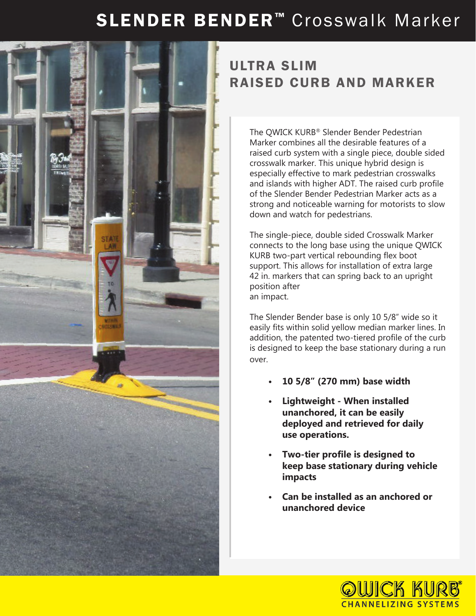## SLENDER BENDER<sup>™</sup> Crosswalk Marker



## ULTRA SLIM RAISED CURB AND MARKER

The QWICK KURB® Slender Bender Pedestrian Marker combines all the desirable features of a raised curb system with a single piece, double sided crosswalk marker. This unique hybrid design is especially effective to mark pedestrian crosswalks and islands with higher ADT. The raised curb profile of the Slender Bender Pedestrian Marker acts as a strong and noticeable warning for motorists to slow down and watch for pedestrians.

The single-piece, double sided Crosswalk Marker connects to the long base using the unique QWICK KURB two-part vertical rebounding flex boot support. This allows for installation of extra large 42 in. markers that can spring back to an upright position after an impact.

The Slender Bender base is only 10 5/8" wide so it easily fits within solid yellow median marker lines. In addition, the patented two-tiered profile of the curb is designed to keep the base stationary during a run over.

- **• 10 5/8" (270 mm) base width**
- **• Lightweight When installed unanchored, it can be easily deployed and retrieved for daily use operations.**
- **• Two-tier profile is designed to keep base stationary during vehicle impacts**
- **• Can be installed as an anchored or unanchored device**